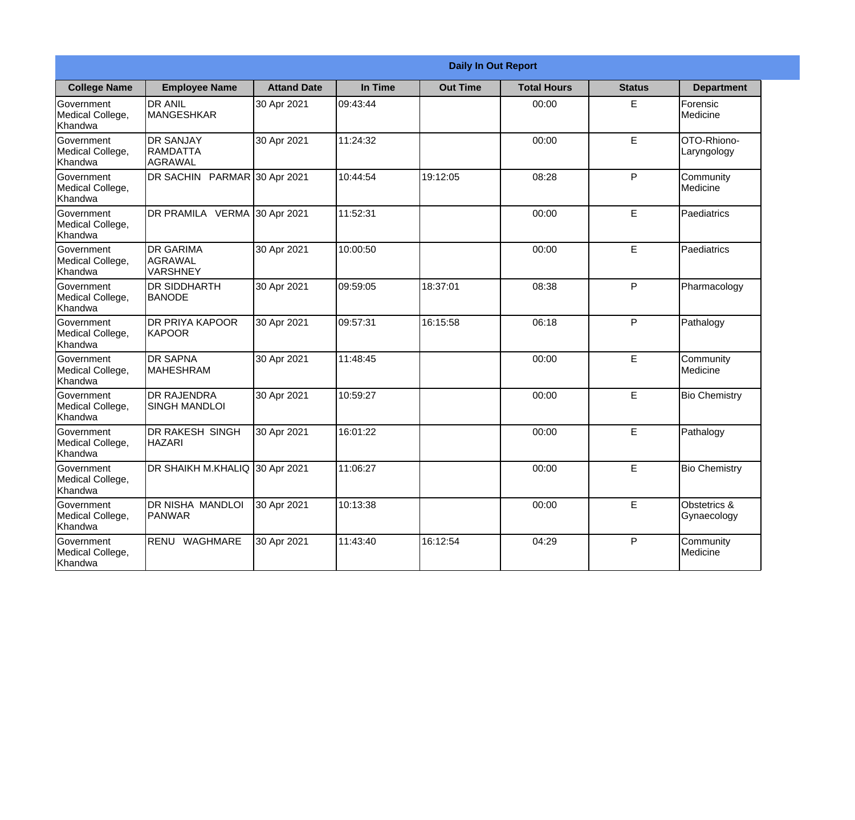|                                                  | <b>Daily In Out Report</b>                            |                    |          |                 |                    |               |                             |
|--------------------------------------------------|-------------------------------------------------------|--------------------|----------|-----------------|--------------------|---------------|-----------------------------|
| <b>College Name</b>                              | <b>Employee Name</b>                                  | <b>Attand Date</b> | In Time  | <b>Out Time</b> | <b>Total Hours</b> | <b>Status</b> | <b>Department</b>           |
| Government<br>Medical College,<br>Khandwa        | <b>DR ANIL</b><br>MANGESHKAR                          | 30 Apr 2021        | 09:43:44 |                 | 00:00              | E             | Forensic<br>Medicine        |
| Government<br>Medical College,<br>Khandwa        | <b>DR SANJAY</b><br><b>RAMDATTA</b><br><b>AGRAWAL</b> | 30 Apr 2021        | 11:24:32 |                 | 00:00              | E             | OTO-Rhiono-<br>Laryngology  |
| <b>Government</b><br>Medical College,<br>Khandwa | DR SACHIN PARMAR 30 Apr 2021                          |                    | 10:44:54 | 19:12:05        | 08:28              | $\mathsf{P}$  | Community<br>Medicine       |
| Government<br>Medical College,<br>Khandwa        | <b>DR PRAMILA VERMA</b>                               | 30 Apr 2021        | 11:52:31 |                 | 00:00              | E             | Paediatrics                 |
| Government<br>Medical College,<br>Khandwa        | <b>DR GARIMA</b><br>AGRAWAL<br><b>VARSHNEY</b>        | 30 Apr 2021        | 10:00:50 |                 | 00:00              | E             | Paediatrics                 |
| Government<br>Medical College,<br>Khandwa        | <b>DR SIDDHARTH</b><br><b>BANODE</b>                  | 30 Apr 2021        | 09:59:05 | 18:37:01        | 08:38              | $\mathsf{P}$  | Pharmacology                |
| Government<br>Medical College,<br>Khandwa        | <b>DR PRIYA KAPOOR</b><br>KAPOOR                      | 30 Apr 2021        | 09:57:31 | 16:15:58        | 06:18              | P             | Pathalogy                   |
| Government<br>Medical College,<br>Khandwa        | <b>DR SAPNA</b><br>MAHESHRAM                          | 30 Apr 2021        | 11:48:45 |                 | 00:00              | E             | Community<br>Medicine       |
| Government<br>Medical College,<br>Khandwa        | <b>DR RAJENDRA</b><br><b>SINGH MANDLOI</b>            | 30 Apr 2021        | 10:59:27 |                 | 00:00              | E             | <b>Bio Chemistry</b>        |
| Government<br>Medical College,<br>Khandwa        | DR RAKESH SINGH<br><b>HAZARI</b>                      | 30 Apr 2021        | 16:01:22 |                 | 00:00              | E             | Pathalogy                   |
| Government<br>Medical College,<br>Khandwa        | DR SHAIKH M.KHALIQ 30 Apr 2021                        |                    | 11:06:27 |                 | 00:00              | E             | <b>Bio Chemistry</b>        |
| Government<br>Medical College,<br>Khandwa        | DR NISHA MANDLOI<br>PANWAR                            | 30 Apr 2021        | 10:13:38 |                 | 00:00              | E             | Obstetrics &<br>Gynaecology |
| Government<br>Medical College,<br>Khandwa        | RENU WAGHMARE                                         | 30 Apr 2021        | 11:43:40 | 16:12:54        | 04:29              | P             | Community<br>Medicine       |